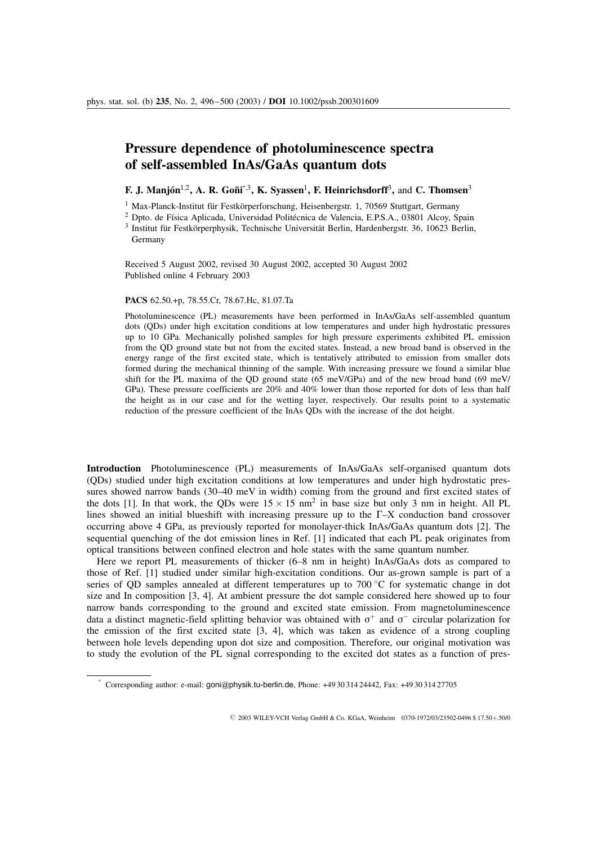## Pressure dependence of photoluminescence spectra of self-assembled InAs/GaAs quantum dots

## F. J. Manjón<sup>1,2</sup>, A. R. Goñi<sup>\*,3</sup>, K. Syassen<sup>1</sup>, F. Heinrichsdorff<sup>3</sup>, and C. Thomsen<sup>3</sup>

 $1$  Max-Planck-Institut für Festkörperforschung, Heisenbergstr. 1, 70569 Stuttgart, Germany

<sup>2</sup> Dpto. de Física Aplicada, Universidad Politécnica de Valencia, E.P.S.A., 03801 Alcoy, Spain

<sup>3</sup> Institut für Festkörperphysik, Technische Universität Berlin, Hardenbergstr. 36, 10623 Berlin, Germany

Received 5 August 2002, revised 30 August 2002, accepted 30 August 2002 Published online 4 February 2003

## PACS 62.50.+p, 78.55.Cr, 78.67.Hc, 81.07.Ta

Photoluminescence (PL) measurements have been performed in InAs/GaAs self-assembled quantum dots (QDs) under high excitation conditions at low temperatures and under high hydrostatic pressures up to 10 GPa. Mechanically polished samples for high pressure experiments exhibited PL emission from the QD ground state but not from the excited states. Instead, a new broad band is observed in the energy range of the first excited state, which is tentatively attributed to emission from smaller dots formed during the mechanical thinning of the sample. With increasing pressure we found a similar blue shift for the PL maxima of the QD ground state (65 meV/GPa) and of the new broad band (69 meV/ GPa). These pressure coefficients are 20% and 40% lower than those reported for dots of less than half the height as in our case and for the wetting layer, respectively. Our results point to a systematic reduction of the pressure coefficient of the InAs QDs with the increase of the dot height.

Introduction Photoluminescence (PL) measurements of InAs/GaAs self-organised quantum dots (QDs) studied under high excitation conditions at low temperatures and under high hydrostatic pressures showed narrow bands (30–40 meV in width) coming from the ground and first excited states of the dots [1]. In that work, the QDs were  $15 \times 15$  nm<sup>2</sup> in base size but only 3 nm in height. All PL lines showed an initial blueshift with increasing pressure up to the  $\Gamma$ -X conduction band crossover occurring above 4 GPa, as previously reported for monolayer-thick InAs/GaAs quantum dots [2]. The sequential quenching of the dot emission lines in Ref. [1] indicated that each PL peak originates from optical transitions between confined electron and hole states with the same quantum number.

Here we report PL measurements of thicker (6–8 nm in height) InAs/GaAs dots as compared to those of Ref. [1] studied under similar high-excitation conditions. Our as-grown sample is part of a series of QD samples annealed at different temperatures up to 700 °C for systematic change in dot size and In composition [3, 4]. At ambient pressure the dot sample considered here showed up to four narrow bands corresponding to the ground and excited state emission. From magnetoluminescence data a distinct magnetic-field splitting behavior was obtained with  $\sigma^+$  and  $\sigma^-$  circular polarization for the emission of the first excited state [3, 4], which was taken as evidence of a strong coupling between hole levels depending upon dot size and composition. Therefore, our original motivation was to study the evolution of the PL signal corresponding to the excited dot states as a function of pres-

<sup>\*</sup> Corresponding author: e-mail: goni@physik.tu-berlin.de, Phone: +49 30 314 24442, Fax: +49 30 314 27705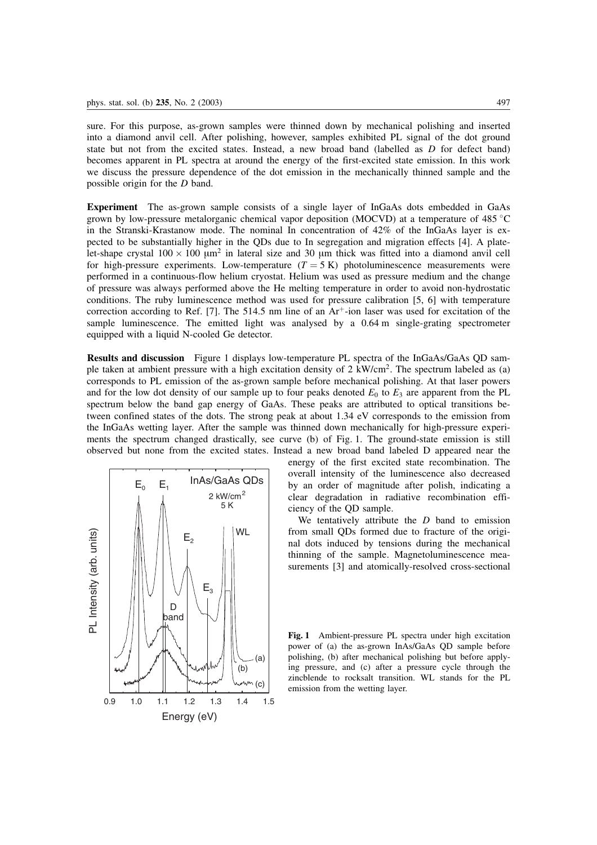sure. For this purpose, as-grown samples were thinned down by mechanical polishing and inserted into a diamond anvil cell. After polishing, however, samples exhibited PL signal of the dot ground state but not from the excited states. Instead, a new broad band (labelled as D for defect band) becomes apparent in PL spectra at around the energy of the first-excited state emission. In this work we discuss the pressure dependence of the dot emission in the mechanically thinned sample and the possible origin for the D band.

Experiment The as-grown sample consists of a single layer of InGaAs dots embedded in GaAs grown by low-pressure metalorganic chemical vapor deposition (MOCVD) at a temperature of 485 °C in the Stranski-Krastanow mode. The nominal In concentration of 42% of the InGaAs layer is expected to be substantially higher in the QDs due to In segregation and migration effects [4]. A platelet-shape crystal  $100 \times 100 \mu m^2$  in lateral size and 30  $\mu$ m thick was fitted into a diamond anvil cell for high-pressure experiments. Low-temperature  $(T = 5 K)$  photoluminescence measurements were performed in a continuous-flow helium cryostat. Helium was used as pressure medium and the change of pressure was always performed above the He melting temperature in order to avoid non-hydrostatic conditions. The ruby luminescence method was used for pressure calibration [5, 6] with temperature correction according to Ref. [7]. The 514.5 nm line of an  $Ar<sup>+</sup>$ -ion laser was used for excitation of the sample luminescence. The emitted light was analysed by a 0.64 m single-grating spectrometer equipped with a liquid N-cooled Ge detector.

Results and discussion Figure 1 displays low-temperature PL spectra of the InGaAs/GaAs QD sample taken at ambient pressure with a high excitation density of 2  $kW/cm<sup>2</sup>$ . The spectrum labeled as (a) corresponds to PL emission of the as-grown sample before mechanical polishing. At that laser powers and for the low dot density of our sample up to four peaks denoted  $E_0$  to  $E_3$  are apparent from the PL spectrum below the band gap energy of GaAs. These peaks are attributed to optical transitions between confined states of the dots. The strong peak at about 1.34 eV corresponds to the emission from the InGaAs wetting layer. After the sample was thinned down mechanically for high-pressure experiments the spectrum changed drastically, see curve (b) of Fig. 1. The ground-state emission is still observed but none from the excited states. Instead a new broad band labeled D appeared near the



energy of the first excited state recombination. The overall intensity of the luminescence also decreased by an order of magnitude after polish, indicating a clear degradation in radiative recombination efficiency of the QD sample.

We tentatively attribute the  $D$  band to emission from small QDs formed due to fracture of the original dots induced by tensions during the mechanical thinning of the sample. Magnetoluminescence measurements [3] and atomically-resolved cross-sectional

Fig. 1 Ambient-pressure PL spectra under high excitation power of (a) the as-grown InAs/GaAs QD sample before polishing, (b) after mechanical polishing but before applying pressure, and (c) after a pressure cycle through the zincblende to rocksalt transition. WL stands for the PL emission from the wetting layer.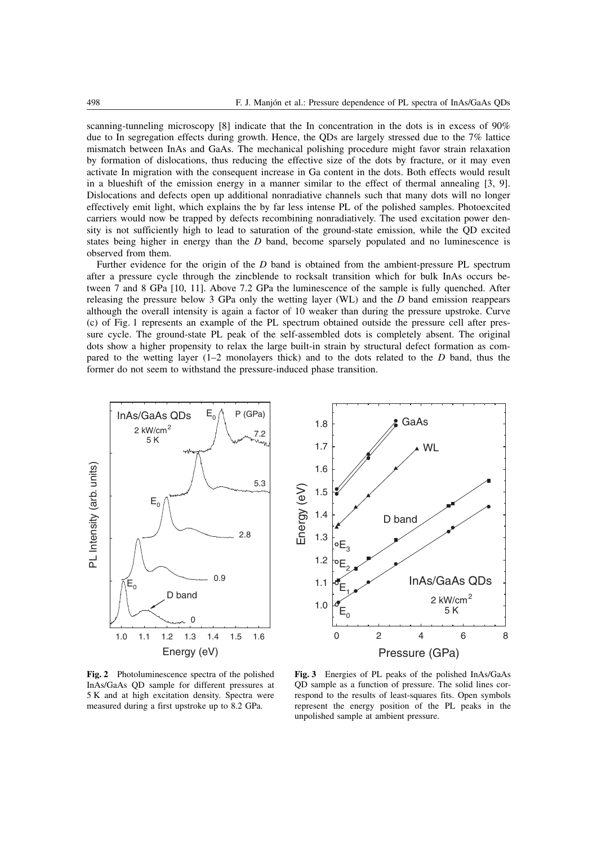scanning-tunneling microscopy [8] indicate that the In concentration in the dots is in excess of 90% due to In segregation effects during growth. Hence, the QDs are largely stressed due to the 7% lattice mismatch between InAs and GaAs. The mechanical polishing procedure might favor strain relaxation by formation of dislocations, thus reducing the effective size of the dots by fracture, or it may even activate In migration with the consequent increase in Ga content in the dots. Both effects would result in a blueshift of the emission energy in a manner similar to the effect of thermal annealing [3, 9]. Dislocations and defects open up additional nonradiative channels such that many dots will no longer effectively emit light, which explains the by far less intense PL of the polished samples. Photoexcited carriers would now be trapped by defects recombining nonradiatively. The used excitation power density is not sufficiently high to lead to saturation of the ground-state emission, while the QD excited states being higher in energy than the D band, become sparsely populated and no luminescence is observed from them.

Further evidence for the origin of the  $D$  band is obtained from the ambient-pressure PL spectrum after a pressure cycle through the zincblende to rocksalt transition which for bulk InAs occurs between 7 and 8 GPa [10, 11]. Above 7.2 GPa the luminescence of the sample is fully quenched. After releasing the pressure below 3 GPa only the wetting layer (WL) and the  $D$  band emission reappears although the overall intensity is again a factor of 10 weaker than during the pressure upstroke. Curve (c) of Fig. 1 represents an example of the PL spectrum obtained outside the pressure cell after pressure cycle. The ground-state PL peak of the self-assembled dots is completely absent. The original dots show a higher propensity to relax the large built-in strain by structural defect formation as compared to the wetting layer  $(1-2)$  monolayers thick) and to the dots related to the D band, thus the former do not seem to withstand the pressure-induced phase transition.





Fig. 2 Photoluminescence spectra of the polished InAs/GaAs QD sample for different pressures at 5 K and at high excitation density. Spectra were measured during a first upstroke up to 8.2 GPa.

Fig. 3 Energies of PL peaks of the polished InAs/GaAs QD sample as a function of pressure. The solid lines correspond to the results of least-squares fits. Open symbols represent the energy position of the PL peaks in the unpolished sample at ambient pressure.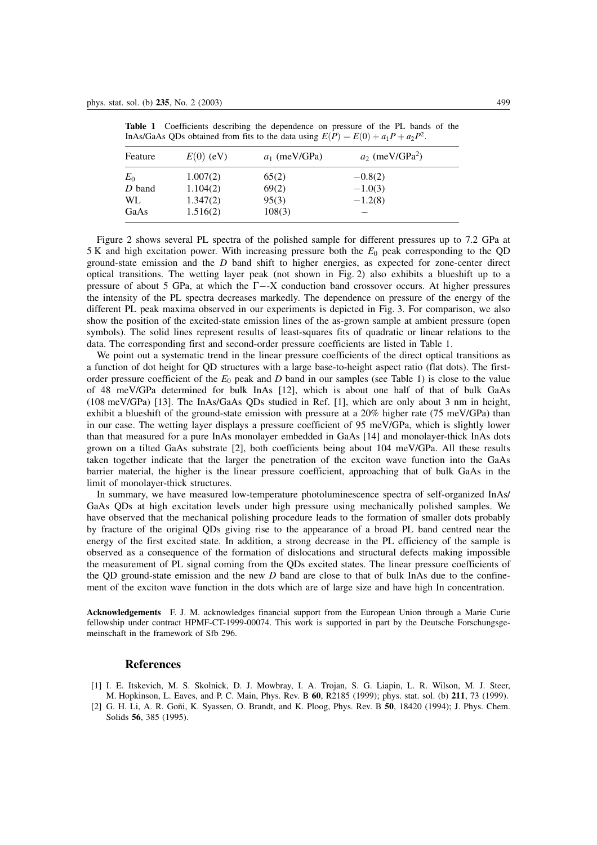Feature  $E(0)$  (eV)  $a_1$  (meV/GPa)  $a_2$  (meV/GPa<sup>2</sup>)  $E_0$  1.007(2) 65(2)  $-0.8(2)$ D band  $1.104(2)$   $69(2)$   $-1.0(3)$ WL  $1.347(2)$   $95(3)$   $-1.2(8)$ GaAs  $1.516(2)$   $108(3)$ 

Table 1 Coefficients describing the dependence on pressure of the PL bands of the InAs/GaAs QDs obtained from fits to the data using  $E(P) = E(0) + a_1P + a_2P^2$ .

Figure 2 shows several PL spectra of the polished sample for different pressures up to 7.2 GPa at 5 K and high excitation power. With increasing pressure both the  $E_0$  peak corresponding to the QD ground-state emission and the  $D$  band shift to higher energies, as expected for zone-center direct optical transitions. The wetting layer peak (not shown in Fig. 2) also exhibits a blueshift up to a pressure of about 5 GPa, at which the  $\Gamma$ -X conduction band crossover occurs. At higher pressures the intensity of the PL spectra decreases markedly. The dependence on pressure of the energy of the different PL peak maxima observed in our experiments is depicted in Fig. 3. For comparison, we also show the position of the excited-state emission lines of the as-grown sample at ambient pressure (open symbols). The solid lines represent results of least-squares fits of quadratic or linear relations to the data. The corresponding first and second-order pressure coefficients are listed in Table 1.

We point out a systematic trend in the linear pressure coefficients of the direct optical transitions as a function of dot height for QD structures with a large base-to-height aspect ratio (flat dots). The firstorder pressure coefficient of the  $E_0$  peak and D band in our samples (see Table 1) is close to the value of 48 meV/GPa determined for bulk InAs [12], which is about one half of that of bulk GaAs (108 meV/GPa) [13]. The InAs/GaAs QDs studied in Ref. [1], which are only about 3 nm in height, exhibit a blueshift of the ground-state emission with pressure at a 20% higher rate (75 meV/GPa) than in our case. The wetting layer displays a pressure coefficient of 95 meV/GPa, which is slightly lower than that measured for a pure InAs monolayer embedded in GaAs [14] and monolayer-thick InAs dots grown on a tilted GaAs substrate [2], both coefficients being about 104 meV/GPa. All these results taken together indicate that the larger the penetration of the exciton wave function into the GaAs barrier material, the higher is the linear pressure coefficient, approaching that of bulk GaAs in the limit of monolayer-thick structures.

In summary, we have measured low-temperature photoluminescence spectra of self-organized InAs/ GaAs QDs at high excitation levels under high pressure using mechanically polished samples. We have observed that the mechanical polishing procedure leads to the formation of smaller dots probably by fracture of the original QDs giving rise to the appearance of a broad PL band centred near the energy of the first excited state. In addition, a strong decrease in the PL efficiency of the sample is observed as a consequence of the formation of dislocations and structural defects making impossible the measurement of PL signal coming from the QDs excited states. The linear pressure coefficients of the QD ground-state emission and the new  $D$  band are close to that of bulk InAs due to the confinement of the exciton wave function in the dots which are of large size and have high In concentration.

Acknowledgements F. J. M. acknowledges financial support from the European Union through a Marie Curie fellowship under contract HPMF-CT-1999-00074. This work is supported in part by the Deutsche Forschungsgemeinschaft in the framework of Sfb 296.

## References

- [1] I. E. Itskevich, M. S. Skolnick, D. J. Mowbray, I. A. Trojan, S. G. Liapin, L. R. Wilson, M. J. Steer, M. Hopkinson, L. Eaves, and P. C. Main, Phys. Rev. B 60, R2185 (1999); phys. stat. sol. (b) 211, 73 (1999).
- [2] G. H. Li, A. R. Goñi, K. Syassen, O. Brandt, and K. Ploog, Phys. Rev. B 50, 18420 (1994); J. Phys. Chem. Solids 56, 385 (1995).